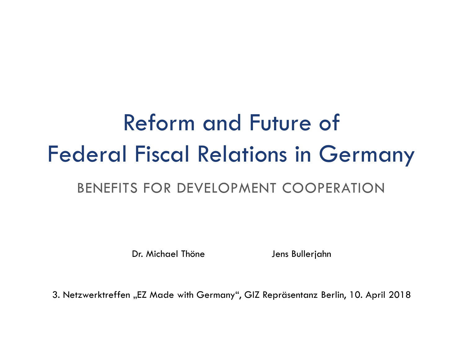# Reform and Future of Federal Fiscal Relations in Germany

## BENEFITS FOR DEVELOPMENT COOPERATION

Dr. Michael Thöne Jens Bullerjahn

3. Netzwerktreffen "EZ Made with Germany", GIZ Repräsentanz Berlin, 10. April 2018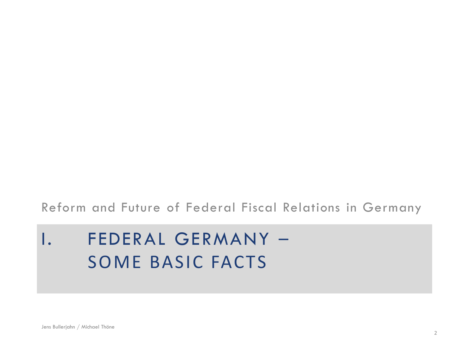### Reform and Future of Federal Fiscal Relations in Germany

# I. FEDERAL GERMANY – SOME BASIC FACTS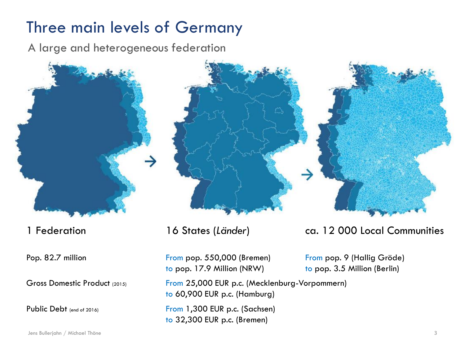# Three main levels of Germany

A large and heterogeneous federation



Pop. 82.7 million From pop. 550,000 (Bremen) From pop. 9 (Hallig Gröde) to pop. 17.9 Million (NRW) to pop. 3.5 Million (Berlin)

Gross Domestic Product (2015) From 25,000 EUR p.c. (Mecklenburg-Vorpommern) to 60,900 EUR p.c. (Hamburg)

Public Debt (end of 2016) From 1,300 EUR p.c. (Sachsen) to 32,300 EUR p.c. (Bremen)

### 1 Federation 16 States (*Länder*) ca. 12 000 Local Communities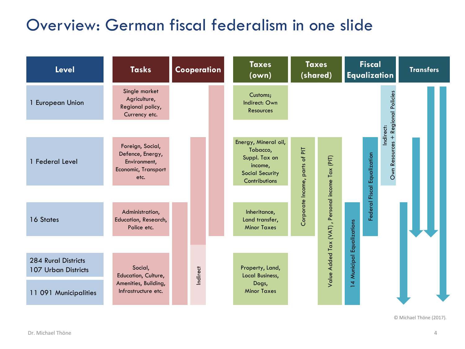# Overview: German fiscal federalism in one slide

| <b>Level</b>                               | <b>Tasks</b>                                                                        | Cooperation |  | <b>Taxes</b><br>(own)                                                                                   | <b>Taxes</b><br>(shared)        |                                                   | <b>Fiscal</b><br><b>Equalization</b> |                                                                  | <b>Transfers</b> |
|--------------------------------------------|-------------------------------------------------------------------------------------|-------------|--|---------------------------------------------------------------------------------------------------------|---------------------------------|---------------------------------------------------|--------------------------------------|------------------------------------------------------------------|------------------|
| 1 European Union                           | Single market<br>Agriculture,<br>Regional policy,<br>Currency etc.                  |             |  | Customs;<br>Indirect: Own<br><b>Resources</b>                                                           |                                 |                                                   |                                      |                                                                  |                  |
|                                            |                                                                                     |             |  |                                                                                                         |                                 |                                                   |                                      | Indirect:                                                        |                  |
| 1 Federal Level                            | Foreign, Social,<br>Defence, Energy,<br>Environment,<br>Economic, Transport<br>etc. |             |  | Energy, Mineral oil,<br>Tobacco,<br>Suppl. Tax on<br>income,<br><b>Social Security</b><br>Contributions | 눈<br>Corporate Income, parts of |                                                   |                                      | Own Resources + Regional Policies<br>Federal Fiscal Equalization |                  |
|                                            |                                                                                     |             |  |                                                                                                         |                                 |                                                   |                                      |                                                                  |                  |
| 16 States                                  | Administration,<br>Education, Research,<br>Police etc.                              |             |  | Inheritance,<br>Land transfer,<br><b>Minor Taxes</b>                                                    |                                 |                                                   |                                      |                                                                  |                  |
|                                            |                                                                                     |             |  |                                                                                                         |                                 |                                                   |                                      |                                                                  |                  |
| 284 Rural Districts<br>107 Urban Districts | Social,<br>Education, Culture,                                                      | Indirect    |  | Property, Land,<br>Local Business,                                                                      |                                 | Value Added Tax (VAT) , Personal income Tax (PIT) | 14 Municipal Equalizations           |                                                                  |                  |
| 11 091 Municipalities                      | Amenities, Building,<br>Infrastructure etc.                                         |             |  | Dogs,<br><b>Minor Taxes</b>                                                                             |                                 |                                                   |                                      |                                                                  |                  |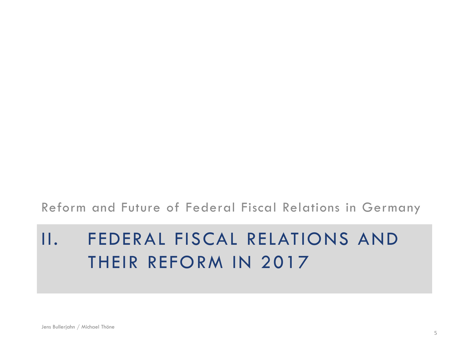### Reform and Future of Federal Fiscal Relations in Germany

# II. FEDERAL FISCAL RELATIONS AND THEIR REFORM IN 2017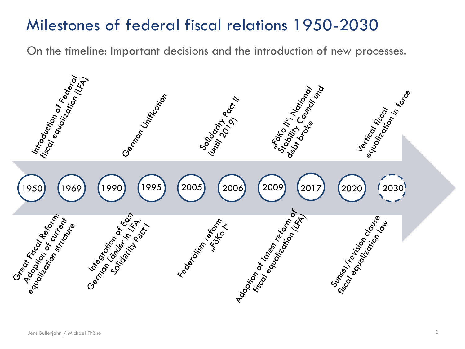# Milestones of federal fiscal relations 1950-2030

On the timeline: Important decisions and the introduction of new processes.

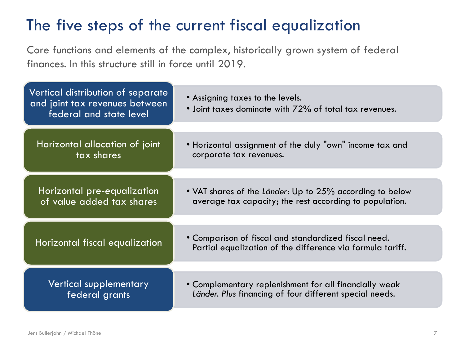# The five steps of the current fiscal equalization

Core functions and elements of the complex, historically grown system of federal finances. In this structure still in force until 2019.

| Vertical distribution of separate<br>and joint tax revenues between<br>federal and state level | • Assigning taxes to the levels.<br>• Joint taxes dominate with 72% of total tax revenues.                          |  |  |  |  |
|------------------------------------------------------------------------------------------------|---------------------------------------------------------------------------------------------------------------------|--|--|--|--|
| Horizontal allocation of joint                                                                 | • Horizontal assignment of the duly "own" income tax and<br>corporate tax revenues.                                 |  |  |  |  |
| tax shares                                                                                     |                                                                                                                     |  |  |  |  |
|                                                                                                |                                                                                                                     |  |  |  |  |
| Horizontal pre-equalization<br>of value added tax shares                                       | • VAT shares of the Länder: Up to 25% according to below<br>average tax capacity; the rest according to population. |  |  |  |  |
|                                                                                                |                                                                                                                     |  |  |  |  |
| Horizontal fiscal equalization                                                                 | • Comparison of fiscal and standardized fiscal need.<br>Partial equalization of the difference via formula tariff.  |  |  |  |  |
|                                                                                                |                                                                                                                     |  |  |  |  |
| <b>Vertical supplementary</b><br>federal grants                                                | • Complementary replenishment for all financially weak<br>Länder. Plus financing of four different special needs.   |  |  |  |  |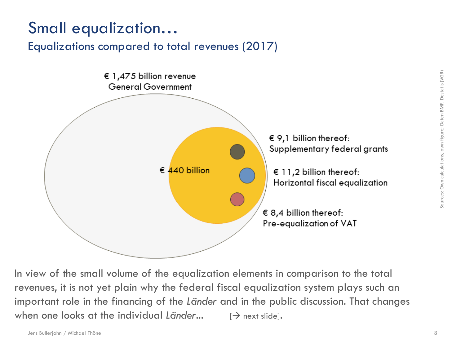# Small equalization…

### Equalizations compared to total revenues (2017)



In view of the small volume of the equalization elements in comparison to the total revenues, it is not yet plain why the federal fiscal equalization system plays such an important role in the financing of the *Länder* and in the public discussion. That changes when one looks at the individual *Länder*...  $[\rightarrow]$  next slide].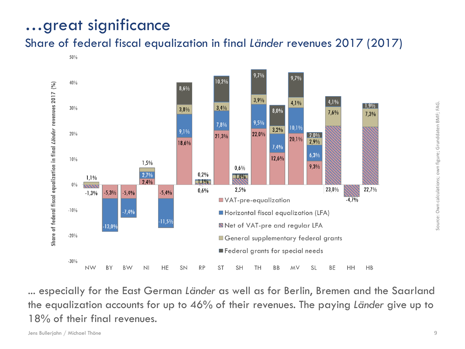# …great significance

### Share of federal fiscal equalization in final *Länder* revenues 2017 (2017)

 $50%$ 



... especially for the East German *Länder* as well as for Berlin, Bremen and the Saarland the equalization accounts for up to 46% of their revenues. The paying *Länder* give up to 18% of their final revenues.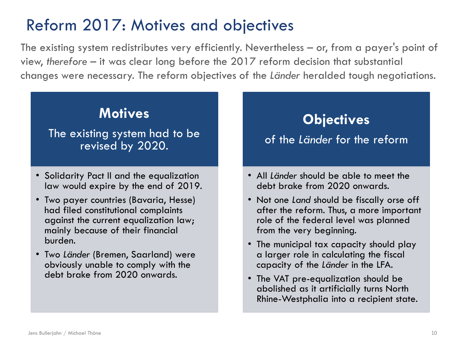# Reform 2017: Motives and objectives

The existing system redistributes very efficiently. Nevertheless – or, from a payer's point of view, *therefore* – it was clear long before the 2017 reform decision that substantial changes were necessary. The reform objectives of the *Länder* heralded tough negotiations.

### **Motives**

### The existing system had to be revised by 2020.

- Solidarity Pact II and the equalization law would expire by the end of 2019.
- Two payer countries (Bavaria, Hesse) had filed constitutional complaints against the current equalization law; mainly because of their financial burden.
- Two *Länder* (Bremen, Saarland) were obviously unable to comply with the debt brake from 2020 onwards.

## **Objectives**

### of the *Länder* for the reform

- All *Länder* should be able to meet the debt brake from 2020 onwards.
- Not one *Land* should be fiscally orse off after the reform. Thus, a more important role of the federal level was planned from the very beginning.
- The municipal tax capacity should play a larger role in calculating the fiscal capacity of the *Länder* in the LFA.
- The VAT pre-equalization should be abolished as it artificially turns North Rhine-Westphalia into a recipient state.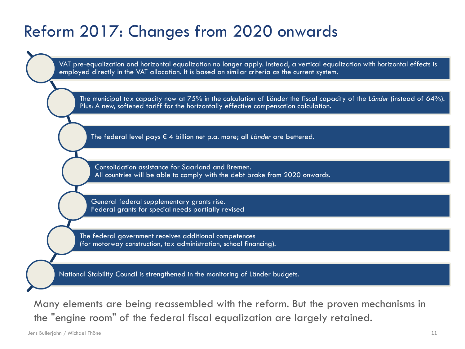# Reform 2017: Changes from 2020 onwards

VAT pre-equalization and horizontal equalization no longer apply. Instead, a vertical equalization with horizontal effects is employed directly in the VAT allocation. It is based on similar criteria as the current system.

The municipal tax capacity now at 75% in the calculation of Länder the fiscal capacity of the *Länder* (instead of 64%). Plus: A new, softened tariff for the horizontally effective compensation calculation.

The federal level pays € 4 billion net p.a. more; all *Länder* are bettered.

Consolidation assistance for Saarland and Bremen. All countries will be able to comply with the debt brake from 2020 onwards.

General federal supplementary grants rise. Federal grants for special needs partially revised

The federal government receives additional competences (for motorway construction, tax administration, school financing).

National Stability Council is strengthened in the monitoring of Länder budgets.

Many elements are being reassembled with the reform. But the proven mechanisms in the "engine room" of the federal fiscal equalization are largely retained.

Jens Bullerjahn / Michael Thöne 11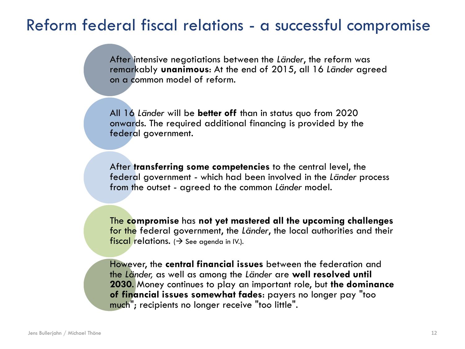# Reform federal fiscal relations - a successful compromise

After intensive negotiations between the *Länder*, the reform was remarkably **unanimous**: At the end of 2015, all 16 *Länder* agreed on a common model of reform.

All 16 *Länder* will be **better off** than in status quo from 2020 onwards. The required additional financing is provided by the federal government.

After **transferring some competencies** to the central level, the federal government - which had been involved in the *Länder* process from the outset - agreed to the common *Länder* model.

The **compromise** has **not yet mastered all the upcoming challenges**  for the federal government, the *Länder*, the local authorities and their fiscal relations. ( $\rightarrow$  See agenda in IV.).

However, the **central financial issues** between the federation and the *Länder,* as well as among the *Länder* are **well resolved until 2030**. Money continues to play an important role, but **the dominance of financial issues somewhat fades**: payers no longer pay "too much"; recipients no longer receive "too little".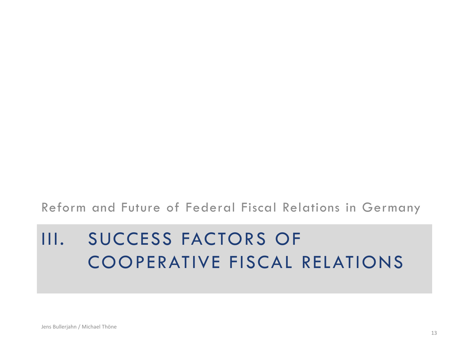### Reform and Future of Federal Fiscal Relations in Germany

# III. SUCCESS FACTORS OF COOPERATIVE FISCAL RELATIONS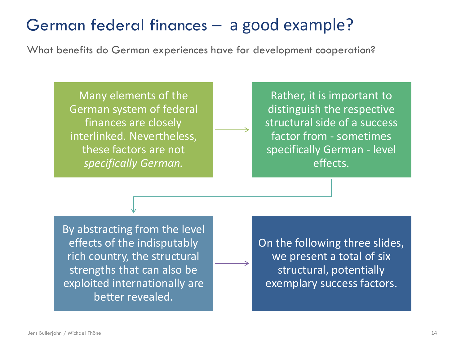# German federal finances – a good example?

What benefits do German experiences have for development cooperation?

Many elements of the German system of federal finances are closely interlinked. Nevertheless, these factors are not *specifically German.*

Rather, it is important to distinguish the respective structural side of a success factor from - sometimes specifically German - level effects.

By abstracting from the level effects of the indisputably rich country, the structural strengths that can also be exploited internationally are better revealed.

On the following three slides, we present a total of six structural, potentially exemplary success factors.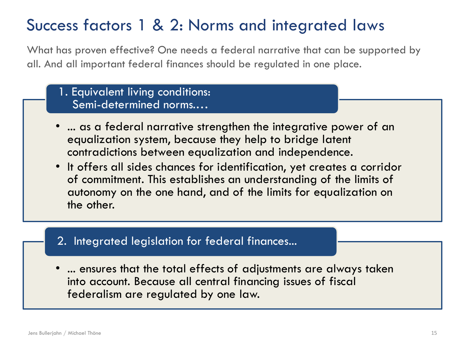# Success factors 1 & 2: Norms and integrated laws

What has proven effective? One needs a federal narrative that can be supported by all. And all important federal finances should be regulated in one place.

- 1. Equivalent living conditions: Semi-determined norms.…
- ... as a federal narrative strengthen the integrative power of an equalization system, because they help to bridge latent contradictions between equalization and independence.
- It offers all sides chances for identification, yet creates a corridor of commitment. This establishes an understanding of the limits of autonomy on the one hand, and of the limits for equalization on the other.

### 2. Integrated legislation for federal finances...

• ... ensures that the total effects of adjustments are always taken into account. Because all central financing issues of fiscal federalism are regulated by one law.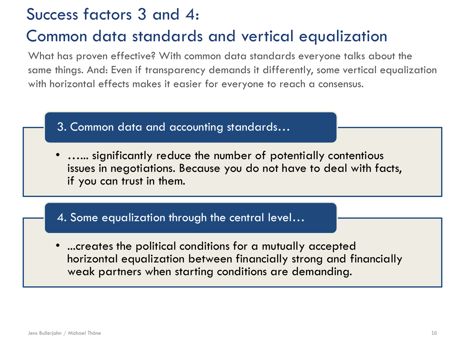# Success factors 3 and 4:

# Common data standards and vertical equalization

What has proven effective? With common data standards everyone talks about the same things. And: Even if transparency demands it differently, some vertical equalization with horizontal effects makes it easier for everyone to reach a consensus.

- 3. Common data and accounting standards…
- …... significantly reduce the number of potentially contentious issues in negotiations. Because you do not have to deal with facts, if you can trust in them.

### 4. Some equalization through the central level…

• ...creates the political conditions for a mutually accepted horizontal equalization between financially strong and financially weak partners when starting conditions are demanding.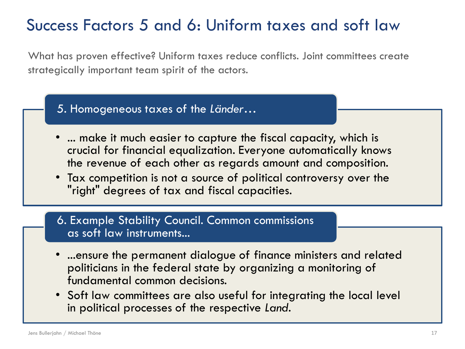# Success Factors 5 and 6: Uniform taxes and soft law

What has proven effective? Uniform taxes reduce conflicts. Joint committees create strategically important team spirit of the actors.

- 5. Homogeneous taxes of the *Länder*…
- ... make it much easier to capture the fiscal capacity, which is crucial for financial equalization. Everyone automatically knows the revenue of each other as regards amount and composition.
- Tax competition is not a source of political controversy over the "right" degrees of tax and fiscal capacities.

### 6. Example Stability Council. Common commissions as soft law instruments...

- ...ensure the permanent dialogue of finance ministers and related politicians in the federal state by organizing a monitoring of fundamental common decisions.
- Soft law committees are also useful for integrating the local level in political processes of the respective *Land*.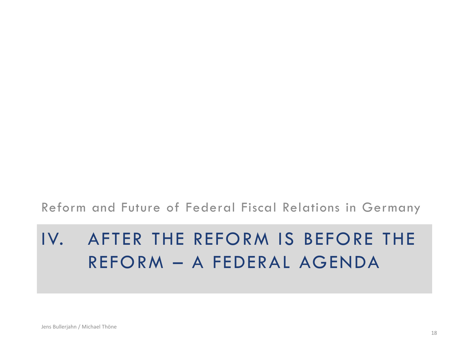### Reform and Future of Federal Fiscal Relations in Germany

# IV. AFTER THE REFORM IS BEFORE THE REFORM – A FEDERAL AGENDA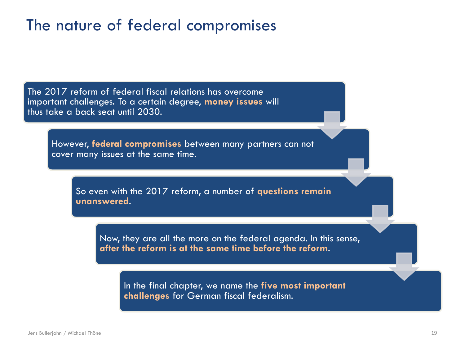# The nature of federal compromises

The 2017 reform of federal fiscal relations has overcome important challenges. To a certain degree, **money issues** will thus take a back seat until 2030.

However, **federal compromises** between many partners can not cover many issues at the same time.

So even with the 2017 reform, a number of **questions remain unanswered**.

Now, they are all the more on the federal agenda. In this sense, **after the reform is at the same time before the reform**.

In the final chapter, we name the **five most important challenges** for German fiscal federalism.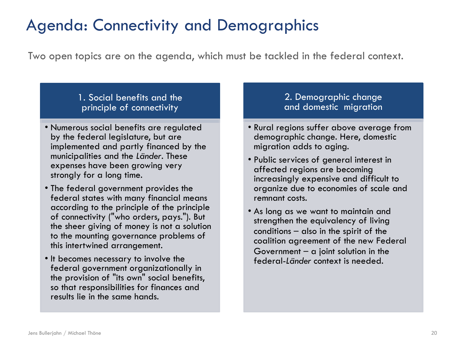# Agenda: Connectivity and Demographics

Two open topics are on the agenda, which must be tackled in the federal context.

### 1. Social benefits and the principle of connectivity

- Numerous social benefits are regulated by the federal legislature, but are implemented and partly financed by the municipalities and the *Länder*. These expenses have been growing very strongly for a long time.
- The federal government provides the federal states with many financial means according to the principle of the principle of connectivity ("who orders, pays."). But the sheer giving of money is not a solution to the mounting governance problems of this intertwined arrangement.
- It becomes necessary to involve the federal government organizationally in the provision of "its own" social benefits, so that responsibilities for finances and results lie in the same hands.

### 2. Demographic change and domestic migration

- Rural regions suffer above average from demographic change. Here, domestic migration adds to aging.
- Public services of general interest in affected regions are becoming increasingly expensive and difficult to organize due to economies of scale and remnant costs.
- As long as we want to maintain and strengthen the equivalency of living conditions – also in the spirit of the coalition agreement of the new Federal Government  $-$  a joint solution in the federal-*Länder* context is needed.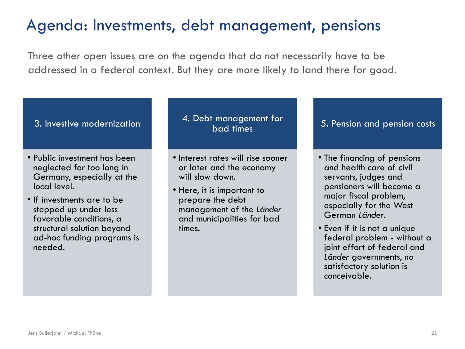# Agenda: Investments, debt management, pensions

Three other open issues are on the agenda that do not necessarily have to be addressed in a federal context. But they are more likely to land there for good.

### 3. Investive modernization

- Public investment has been neglected for too long in Germany, especially at the local level.
- If investments are to be stepped up under less favorable conditions, a structural solution beyond ad-hoc funding programs is needed.

### 4. Debt management for bad times

- Interest rates will rise sooner or later and the economy will slow down.
- Here, it is important to prepare the debt management of the *Länder* and municipalities for bad times.

### 5. Pension and pension costs

- The financing of pensions and health care of civil servants, judges and pensioners will become a major fiscal problem, especially for the West German *Länder*.
- Even if it is not a unique federal problem - without a joint effort of federal and *Länder* governments, no satisfactory solution is conceivable.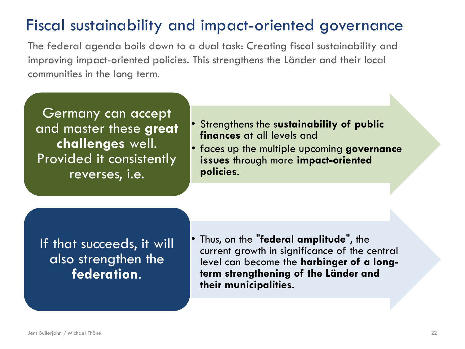# Fiscal sustainability and impact-oriented governance

The federal agenda boils down to a dual task: Creating fiscal sustainability and improving impact-oriented policies. This strengthens the Länder and their local communities in the long term.

Germany can accept and master these **great challenges** well. Provided it consistently reverses, i.e.

- Strengthens the s**ustainability of public finances** at all levels and
- faces up the multiple upcoming **governance issues** through more **impact-oriented policies**.

If that succeeds, it will also strengthen the **federation**.

• Thus, on the "**federal amplitude**", the current growth in significance of the central level can become the **harbinger of a longterm strengthening of the Länder and their municipalities**.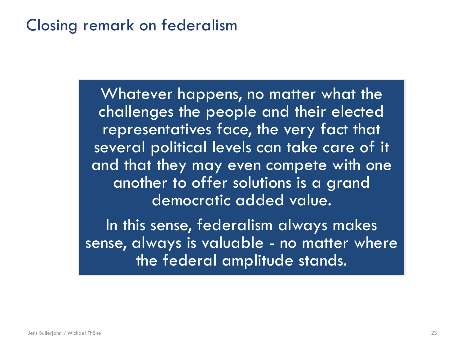# Closing remark on federalism

Whatever happens, no matter what the challenges the people and their elected representatives face, the very fact that several political levels can take care of it and that they may even compete with one another to offer solutions is a grand democratic added value.

In this sense, federalism always makes sense, always is valuable - no matter where the federal amplitude stands.